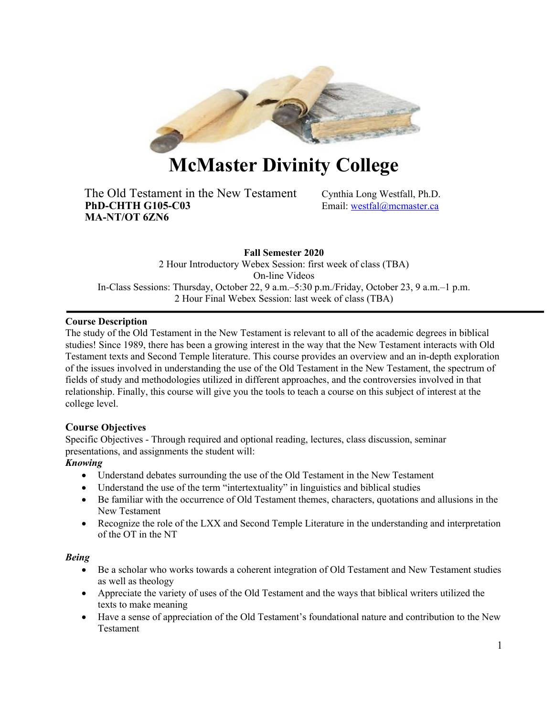

# **McMaster Divinity College**

The Old Testament in the New Testament Cynthia Long Westfall, Ph.D.<br> **PhD-CHTH G105-C03** Email: westfal@mcmaster.ca **MA-NT/OT 6ZN6**

Email: westfal@mcmaster.ca

**Fall Semester 2020** 2 Hour Introductory Webex Session: first week of class (TBA) On-line Videos In-Class Sessions: Thursday, October 22, 9 a.m.–5:30 p.m./Friday, October 23, 9 a.m.–1 p.m. 2 Hour Final Webex Session: last week of class (TBA)

## **Course Description**

The study of the Old Testament in the New Testament is relevant to all of the academic degrees in biblical studies! Since 1989, there has been a growing interest in the way that the New Testament interacts with Old Testament texts and Second Temple literature. This course provides an overview and an in-depth exploration of the issues involved in understanding the use of the Old Testament in the New Testament, the spectrum of fields of study and methodologies utilized in different approaches, and the controversies involved in that relationship. Finally, this course will give you the tools to teach a course on this subject of interest at the college level.

# **Course Objectives**

Specific Objectives - Through required and optional reading, lectures, class discussion, seminar presentations, and assignments the student will:

## *Knowing*

- Understand debates surrounding the use of the Old Testament in the New Testament
- Understand the use of the term "intertextuality" in linguistics and biblical studies
- Be familiar with the occurrence of Old Testament themes, characters, quotations and allusions in the New Testament
- Recognize the role of the LXX and Second Temple Literature in the understanding and interpretation of the OT in the NT

## *Being*

- Be a scholar who works towards a coherent integration of Old Testament and New Testament studies as well as theology
- Appreciate the variety of uses of the Old Testament and the ways that biblical writers utilized the texts to make meaning
- Have a sense of appreciation of the Old Testament's foundational nature and contribution to the New Testament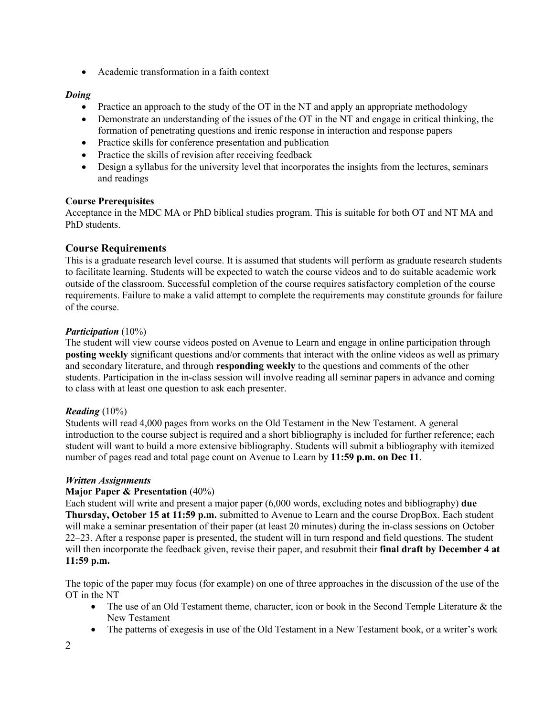• Academic transformation in a faith context

# *Doing*

- Practice an approach to the study of the OT in the NT and apply an appropriate methodology
- Demonstrate an understanding of the issues of the OT in the NT and engage in critical thinking, the formation of penetrating questions and irenic response in interaction and response papers
- Practice skills for conference presentation and publication
- Practice the skills of revision after receiving feedback
- Design a syllabus for the university level that incorporates the insights from the lectures, seminars and readings

## **Course Prerequisites**

Acceptance in the MDC MA or PhD biblical studies program. This is suitable for both OT and NT MA and PhD students.

# **Course Requirements**

This is a graduate research level course. It is assumed that students will perform as graduate research students to facilitate learning. Students will be expected to watch the course videos and to do suitable academic work outside of the classroom. Successful completion of the course requires satisfactory completion of the course requirements. Failure to make a valid attempt to complete the requirements may constitute grounds for failure of the course.

## *Participation* (10%)

The student will view course videos posted on Avenue to Learn and engage in online participation through **posting weekly** significant questions and/or comments that interact with the online videos as well as primary and secondary literature, and through **responding weekly** to the questions and comments of the other students. Participation in the in-class session will involve reading all seminar papers in advance and coming to class with at least one question to ask each presenter.

## *Reading* (10%)

Students will read 4,000 pages from works on the Old Testament in the New Testament. A general introduction to the course subject is required and a short bibliography is included for further reference; each student will want to build a more extensive bibliography. Students will submit a bibliography with itemized number of pages read and total page count on Avenue to Learn by **11:59 p.m. on Dec 11**.

# *Written Assignments*

# **Major Paper & Presentation** (40%)

Each student will write and present a major paper (6,000 words, excluding notes and bibliography) **due Thursday, October 15 at 11:59 p.m.** submitted to Avenue to Learn and the course DropBox. Each student will make a seminar presentation of their paper (at least 20 minutes) during the in-class sessions on October 22–23. After a response paper is presented, the student will in turn respond and field questions. The student will then incorporate the feedback given, revise their paper, and resubmit their **final draft by December 4 at 11:59 p.m.**

The topic of the paper may focus (for example) on one of three approaches in the discussion of the use of the OT in the NT

- The use of an Old Testament theme, character, icon or book in the Second Temple Literature & the New Testament
- The patterns of exegesis in use of the Old Testament in a New Testament book, or a writer's work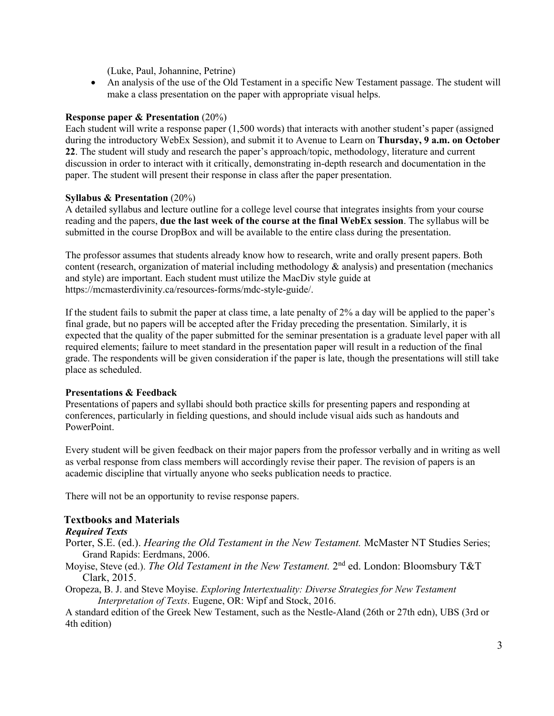(Luke, Paul, Johannine, Petrine)

• An analysis of the use of the Old Testament in a specific New Testament passage. The student will make a class presentation on the paper with appropriate visual helps.

## **Response paper & Presentation** (20%)

Each student will write a response paper (1,500 words) that interacts with another student's paper (assigned during the introductory WebEx Session), and submit it to Avenue to Learn on **Thursday, 9 a.m. on October 22**. The student will study and research the paper's approach/topic, methodology, literature and current discussion in order to interact with it critically, demonstrating in-depth research and documentation in the paper. The student will present their response in class after the paper presentation.

#### **Syllabus & Presentation** (20%)

A detailed syllabus and lecture outline for a college level course that integrates insights from your course reading and the papers, **due the last week of the course at the final WebEx session**. The syllabus will be submitted in the course DropBox and will be available to the entire class during the presentation.

The professor assumes that students already know how to research, write and orally present papers. Both content (research, organization of material including methodology  $\&$  analysis) and presentation (mechanics and style) are important. Each student must utilize the MacDiv style guide at https://mcmasterdivinity.ca/resources-forms/mdc-style-guide/.

If the student fails to submit the paper at class time, a late penalty of 2% a day will be applied to the paper's final grade, but no papers will be accepted after the Friday preceding the presentation. Similarly, it is expected that the quality of the paper submitted for the seminar presentation is a graduate level paper with all required elements; failure to meet standard in the presentation paper will result in a reduction of the final grade. The respondents will be given consideration if the paper is late, though the presentations will still take place as scheduled.

## **Presentations & Feedback**

Presentations of papers and syllabi should both practice skills for presenting papers and responding at conferences, particularly in fielding questions, and should include visual aids such as handouts and PowerPoint.

Every student will be given feedback on their major papers from the professor verbally and in writing as well as verbal response from class members will accordingly revise their paper. The revision of papers is an academic discipline that virtually anyone who seeks publication needs to practice.

There will not be an opportunity to revise response papers.

## **Textbooks and Materials**

## *Required Texts*

- Porter, S.E. (ed.). *Hearing the Old Testament in the New Testament.* McMaster NT Studies Series; Grand Rapids: Eerdmans, 2006.
- Moyise, Steve (ed.). *The Old Testament in the New Testament*. 2<sup>nd</sup> ed. London: Bloomsbury T&T Clark, 2015.
- Oropeza, B. J. and Steve Moyise. *Exploring Intertextuality: Diverse Strategies for New Testament Interpretation of Texts*. Eugene, OR: Wipf and Stock, 2016.

A standard edition of the Greek New Testament, such as the Nestle-Aland (26th or 27th edn), UBS (3rd or 4th edition)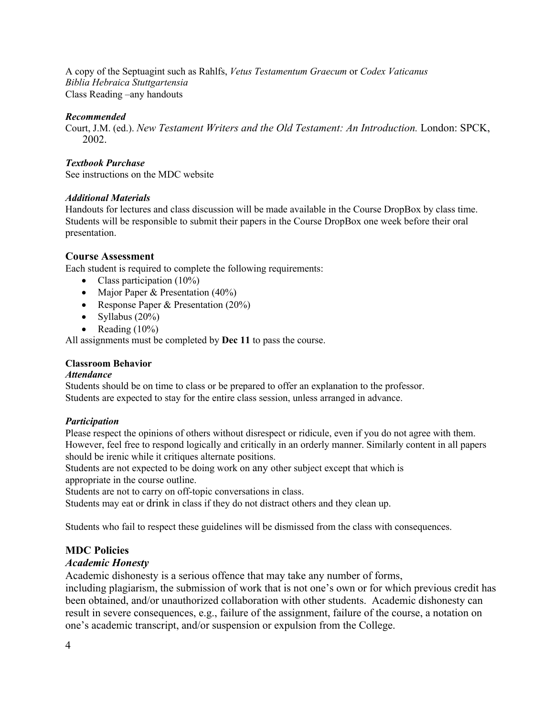A copy of the Septuagint such as Rahlfs, *Vetus Testamentum Graecum* or *Codex Vaticanus Biblia Hebraica Stuttgartensia* Class Reading –any handouts

#### *Recommended*

Court, J.M. (ed.). *New Testament Writers and the Old Testament: An Introduction.* London: SPCK, 2002.

## *Textbook Purchase*

See instructions on the MDC website

## *Additional Materials*

Handouts for lectures and class discussion will be made available in the Course DropBox by class time. Students will be responsible to submit their papers in the Course DropBox one week before their oral presentation.

## **Course Assessment**

Each student is required to complete the following requirements:

- Class participation (10%)
- Major Paper & Presentation (40%)
- Response Paper & Presentation (20%)
- Syllabus  $(20\%)$
- Reading  $(10\%)$

All assignments must be completed by **Dec 11** to pass the course.

## **Classroom Behavior**

## *Attendance*

Students should be on time to class or be prepared to offer an explanation to the professor. Students are expected to stay for the entire class session, unless arranged in advance.

## *Participation*

Please respect the opinions of others without disrespect or ridicule, even if you do not agree with them. However, feel free to respond logically and critically in an orderly manner. Similarly content in all papers should be irenic while it critiques alternate positions.

Students are not expected to be doing work on any other subject except that which is appropriate in the course outline.

Students are not to carry on off-topic conversations in class.

Students may eat or drink in class if they do not distract others and they clean up.

Students who fail to respect these guidelines will be dismissed from the class with consequences.

## **MDC Policies**

## *Academic Honesty*

Academic dishonesty is a serious offence that may take any number of forms,

including plagiarism, the submission of work that is not one's own or for which previous credit has been obtained, and/or unauthorized collaboration with other students. Academic dishonesty can result in severe consequences, e.g., failure of the assignment, failure of the course, a notation on one's academic transcript, and/or suspension or expulsion from the College.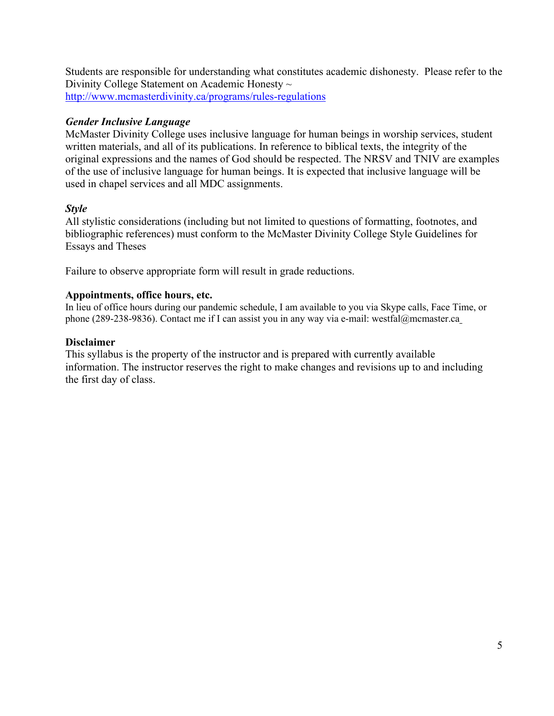Students are responsible for understanding what constitutes academic dishonesty. Please refer to the Divinity College Statement on Academic Honesty ~ http://www.mcmasterdivinity.ca/programs/rules-regulations

# *Gender Inclusive Language*

McMaster Divinity College uses inclusive language for human beings in worship services, student written materials, and all of its publications. In reference to biblical texts, the integrity of the original expressions and the names of God should be respected. The NRSV and TNIV are examples of the use of inclusive language for human beings. It is expected that inclusive language will be used in chapel services and all MDC assignments.

# *Style*

All stylistic considerations (including but not limited to questions of formatting, footnotes, and bibliographic references) must conform to the McMaster Divinity College Style Guidelines for Essays and Theses

Failure to observe appropriate form will result in grade reductions.

## **Appointments, office hours, etc.**

In lieu of office hours during our pandemic schedule, I am available to you via Skype calls, Face Time, or phone (289-238-9836). Contact me if I can assist you in any way via e-mail: westfal@mcmaster.ca

# **Disclaimer**

This syllabus is the property of the instructor and is prepared with currently available information. The instructor reserves the right to make changes and revisions up to and including the first day of class.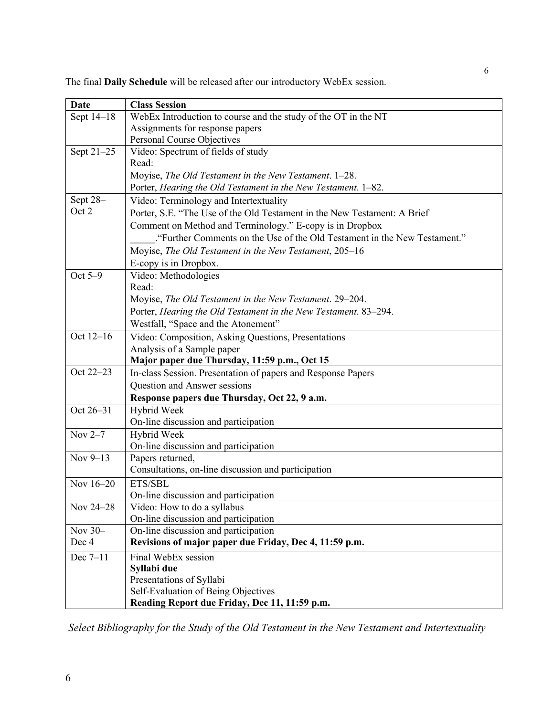The final **Daily Schedule** will be released after our introductory WebEx session.

| Date       | <b>Class Session</b>                                                         |
|------------|------------------------------------------------------------------------------|
| Sept 14-18 | WebEx Introduction to course and the study of the OT in the NT               |
|            | Assignments for response papers                                              |
|            | Personal Course Objectives                                                   |
| Sept 21-25 | Video: Spectrum of fields of study                                           |
|            | Read:                                                                        |
|            | Moyise, The Old Testament in the New Testament. 1-28.                        |
|            | Porter, Hearing the Old Testament in the New Testament. 1-82.                |
| Sept 28-   | Video: Terminology and Intertextuality                                       |
| Oct 2      | Porter, S.E. "The Use of the Old Testament in the New Testament: A Brief     |
|            | Comment on Method and Terminology." E-copy is in Dropbox                     |
|            | "Further Comments on the Use of the Old Testament in the New Testament."     |
|            | Moyise, The Old Testament in the New Testament, 205-16                       |
|            | E-copy is in Dropbox.                                                        |
| Oct 5-9    | Video: Methodologies                                                         |
|            | Read:                                                                        |
|            | Moyise, The Old Testament in the New Testament. 29–204.                      |
|            | Porter, Hearing the Old Testament in the New Testament. 83-294.              |
|            | Westfall, "Space and the Atonement"                                          |
| Oct 12-16  | Video: Composition, Asking Questions, Presentations                          |
|            | Analysis of a Sample paper                                                   |
|            | Major paper due Thursday, 11:59 p.m., Oct 15                                 |
| Oct 22-23  | In-class Session. Presentation of papers and Response Papers                 |
|            | Question and Answer sessions                                                 |
|            | Response papers due Thursday, Oct 22, 9 a.m.                                 |
| Oct 26-31  | Hybrid Week                                                                  |
|            | On-line discussion and participation                                         |
| Nov $2-7$  | Hybrid Week                                                                  |
|            | On-line discussion and participation                                         |
| Nov 9-13   | Papers returned,                                                             |
|            | Consultations, on-line discussion and participation                          |
| Nov 16-20  | ETS/SBL                                                                      |
|            | On-line discussion and participation                                         |
| Nov 24-28  | Video: How to do a syllabus                                                  |
| Nov $30-$  | On-line discussion and participation<br>On-line discussion and participation |
| Dec 4      | Revisions of major paper due Friday, Dec 4, 11:59 p.m.                       |
| Dec $7-11$ | Final WebEx session                                                          |
|            | Syllabi due                                                                  |
|            | Presentations of Syllabi                                                     |
|            | Self-Evaluation of Being Objectives                                          |
|            | Reading Report due Friday, Dec 11, 11:59 p.m.                                |

*Select Bibliography for the Study of the Old Testament in the New Testament and Intertextuality*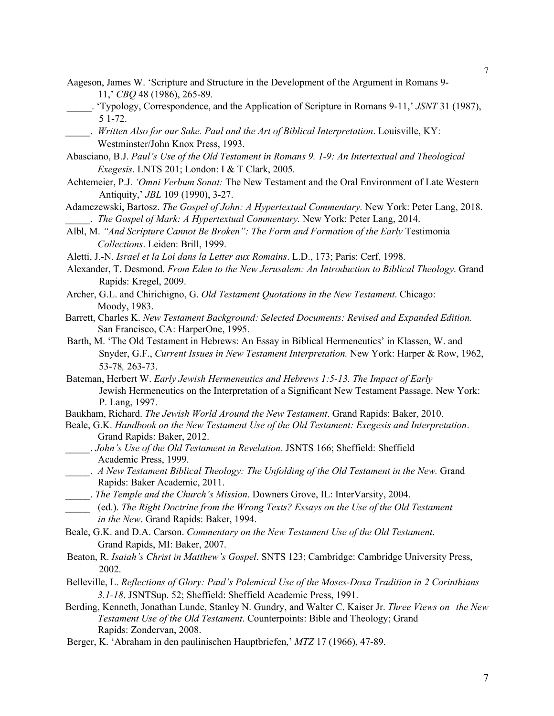- Aageson, James W. 'Scripture and Structure in the Development of the Argument in Romans 9- 11,' *CBQ* 48 (1986), 265-89*.*
- \_\_\_\_\_. 'Typology, Correspondence, and the Application of Scripture in Romans 9-11,' *JSNT* 31 (1987), 5 1-72.
- \_\_\_\_\_. *Written Also for our Sake. Paul and the Art of Biblical Interpretation*. Louisville, KY: Westminster/John Knox Press, 1993.
- Abasciano, B.J. *Paul's Use of the Old Testament in Romans 9. 1-9: An Intertextual and Theological Exegesis*. LNTS 201; London: I & T Clark, 2005*.*
- Achtemeier, P.J. *'Omni Verbum Sonat:* The New Testament and the Oral Environment of Late Western Antiquity,' *JBL* 109 (1990), 3-27.
- Adamczewski, Bartosz. *The Gospel of John: A Hypertextual Commentary.* New York: Peter Lang, 2018. \_\_\_\_\_. *The Gospel of Mark: A Hypertextual Commentary.* New York: Peter Lang, 2014.
- Albl, M. "And Scripture Cannot Be Broken": The Form and Formation of the Early Testimonia *Collections*. Leiden: Brill, 1999.
- Aletti, J.-N. *Israel et la Loi dans la Letter aux Romains*. L.D., 173; Paris: Cerf, 1998.
- Alexander, T. Desmond. *From Eden to the New Jerusalem: An Introduction to Biblical Theology*. Grand Rapids: Kregel, 2009.
- Archer, G.L. and Chirichigno, G. *Old Testament Quotations in the New Testament*. Chicago: Moody, 1983.
- Barrett, Charles K. *New Testament Background: Selected Documents: Revised and Expanded Edition.* San Francisco, CA: HarperOne, 1995.
- Barth, M. 'The Old Testament in Hebrews: An Essay in Biblical Hermeneutics' in Klassen, W. and Snyder, G.F., *Current Issues in New Testament Interpretation.* New York: Harper & Row, 1962, 53-78*,* 263-73.
- Bateman, Herbert W. *Early Jewish Hermeneutics and Hebrews 1:5-13. The Impact of Early* Jewish Hermeneutics on the Interpretation of a Significant New Testament Passage. New York: P. Lang, 1997.
- Baukham, Richard. *The Jewish World Around the New Testament*. Grand Rapids: Baker, 2010.
- Beale, G.K. *Handbook on the New Testament Use of the Old Testament: Exegesis and Interpretation*. Grand Rapids: Baker, 2012.
- \_\_\_\_\_. *John's Use of the Old Testament in Revelation*. JSNTS 166; Sheffield: Sheffield Academic Press, 1999.
- \_\_\_\_\_. *A New Testament Biblical Theology: The Unfolding of the Old Testament in the New.* Grand Rapids: Baker Academic, 2011.
- \_\_\_\_\_. *The Temple and the Church's Mission*. Downers Grove, IL: InterVarsity, 2004.
- \_\_\_\_\_ (ed.). *The Right Doctrine from the Wrong Texts? Essays on the Use of the Old Testament in the New*. Grand Rapids: Baker, 1994.
- Beale, G.K. and D.A. Carson. *Commentary on the New Testament Use of the Old Testament*. Grand Rapids, MI: Baker, 2007.
- Beaton, R. *Isaiah's Christ in Matthew's Gospel*. SNTS 123; Cambridge: Cambridge University Press, 2002.
- Belleville, L. *Reflections of Glory: Paul's Polemical Use of the Moses-Doxa Tradition in 2 Corinthians 3.1-18*. JSNTSup. 52; Sheffield: Sheffield Academic Press, 1991.
- Berding, Kenneth, Jonathan Lunde, Stanley N. Gundry, and Walter C. Kaiser Jr. *Three Views on the New Testament Use of the Old Testament*. Counterpoints: Bible and Theology; Grand Rapids: Zondervan, 2008.
- Berger, K. 'Abraham in den paulinischen Hauptbriefen,' *MTZ* 17 (1966), 47-89.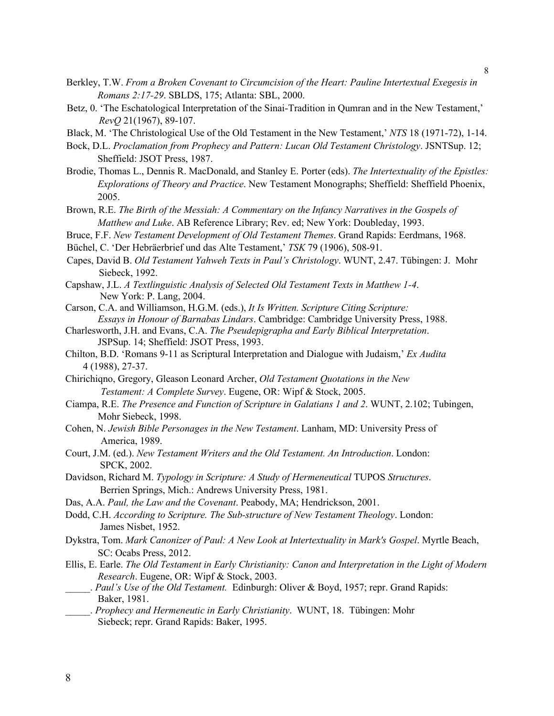- Berkley, T.W. *From a Broken Covenant to Circumcision of the Heart: Pauline Intertextual Exegesis in Romans 2:17-29*. SBLDS, 175; Atlanta: SBL, 2000.
- Betz, 0. 'The Eschatological Interpretation of the Sinai-Tradition in Qumran and in the New Testament,' *RevQ* 21(1967), 89-107.
- Black, M. 'The Christological Use of the Old Testament in the New Testament,' *NTS* 18 (1971-72), 1-14.
- Bock, D.L. *Proclamation from Prophecy and Pattern: Lucan Old Testament Christology*. JSNTSup. 12; Sheffield: JSOT Press, 1987.
- Brodie, Thomas L., Dennis R. MacDonald, and Stanley E. Porter (eds). *The Intertextuality of the Epistles: Explorations of Theory and Practice*. New Testament Monographs; Sheffield: Sheffield Phoenix, 2005.
- Brown, R.E. *The Birth of the Messiah: A Commentary on the Infancy Narratives in the Gospels of Matthew and Luke*. AB Reference Library; Rev. ed; New York: Doubleday, 1993.
- Bruce, F.F. *New Testament Development of Old Testament Themes*. Grand Rapids: Eerdmans, 1968.
- Büchel, C. 'Der Hebräerbrief und das Alte Testament,' *TSK* 79 (1906), 508-91.
- Capes, David B. *Old Testament Yahweh Texts in Paul's Christology*. WUNT, 2.47. Tübingen: J. Mohr Siebeck, 1992.
- Capshaw, J.L. *A Textlinguistic Analysis of Selected Old Testament Texts in Matthew 1-4*. New York: P. Lang, 2004.
- Carson, C.A. and Williamson, H.G.M. (eds.), *It Is Written. Scripture Citing Scripture: Essays in Honour of Barnabas Lindars*. Cambridge: Cambridge University Press, 1988.
- Charlesworth, J.H. and Evans, C.A. *The Pseudepigrapha and Early Biblical Interpretation*. JSPSup. 14; Sheffield: JSOT Press, 1993.
- Chilton, B.D. 'Romans 9-11 as Scriptural Interpretation and Dialogue with Judaism,' *Ex Audita*  4 (1988), 27-37.
- Chirichiqno, Gregory, Gleason Leonard Archer, *Old Testament Quotations in the New Testament: A Complete Survey*. Eugene, OR: Wipf & Stock, 2005.
- Ciampa, R.E. *The Presence and Function of Scripture in Galatians 1 and 2*. WUNT, 2.102; Tubingen, Mohr Siebeck, 1998.
- Cohen, N. *Jewish Bible Personages in the New Testament*. Lanham, MD: University Press of America, 1989.
- Court, J.M. (ed.). *New Testament Writers and the Old Testament. An Introduction*. London: SPCK, 2002.
- Davidson, Richard M. *Typology in Scripture: A Study of Hermeneutical* TUPOS *Structures*. Berrien Springs, Mich.: Andrews University Press, 1981.
- Das, A.A. *Paul, the Law and the Covenant*. Peabody, MA; Hendrickson, 2001.
- Dodd, C.H. *According to Scripture. The Sub-structure of New Testament Theology*. London: James Nisbet, 1952.
- Dykstra, Tom. *Mark Canonizer of Paul: A New Look at Intertextuality in Mark's Gospel*. Myrtle Beach, SC: Ocabs Press, 2012.
- Ellis, E. Earle. *The Old Testament in Early Christianity: Canon and Interpretation in the Light of Modern Research*. Eugene, OR: Wipf & Stock, 2003.
	- \_\_\_\_\_. *Paul's Use of the Old Testament.* Edinburgh: Oliver & Boyd, 1957; repr. Grand Rapids: Baker, 1981.
- \_\_\_\_\_. *Prophecy and Hermeneutic in Early Christianity*. WUNT, 18. Tübingen: Mohr Siebeck; repr. Grand Rapids: Baker, 1995.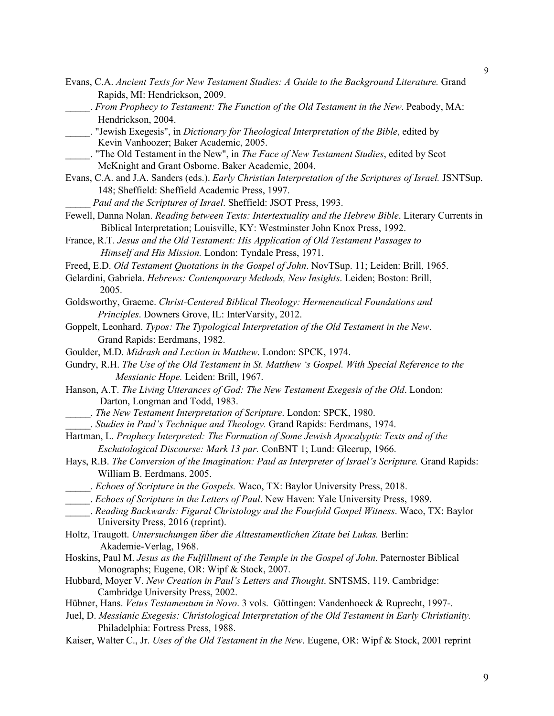- Evans, C.A. *Ancient Texts for New Testament Studies: A Guide to the Background Literature.* Grand Rapids, MI: Hendrickson, 2009.
- \_\_\_\_\_. *From Prophecy to Testament: The Function of the Old Testament in the New*. Peabody, MA: Hendrickson, 2004.
- \_\_\_\_\_. "Jewish Exegesis", in *Dictionary for Theological Interpretation of the Bible*, edited by Kevin Vanhoozer; Baker Academic, 2005.
- \_\_\_\_\_. "The Old Testament in the New", in *The Face of New Testament Studies*, edited by Scot McKnight and Grant Osborne. Baker Academic, 2004.
- Evans, C.A. and J.A. Sanders (eds.). *Early Christian Interpretation of the Scriptures of Israel.* JSNTSup. 148; Sheffield: Sheffield Academic Press, 1997.
	- \_\_\_\_\_ *Paul and the Scriptures of Israel*. Sheffield: JSOT Press, 1993.
- Fewell, Danna Nolan. *Reading between Texts: Intertextuality and the Hebrew Bible*. Literary Currents in Biblical Interpretation; Louisville, KY: Westminster John Knox Press, 1992.
- France, R.T. *Jesus and the Old Testament: His Application of Old Testament Passages to Himself and His Mission.* London: Tyndale Press, 1971.
- Freed, E.D. *Old Testament Quotations in the Gospel of John*. NovTSup. 11; Leiden: Brill, 1965.
- Gelardini, Gabriela. *Hebrews: Contemporary Methods, New Insights*. Leiden; Boston: Brill, 2005.
- Goldsworthy, Graeme. *Christ-Centered Biblical Theology: Hermeneutical Foundations and Principles*. Downers Grove, IL: InterVarsity, 2012.
- Goppelt, Leonhard. *Typos: The Typological Interpretation of the Old Testament in the New*. Grand Rapids: Eerdmans, 1982.
- Goulder, M.D. *Midrash and Lection in Matthew*. London: SPCK, 1974.
- Gundry, R.H. *The Use of the Old Testament in St. Matthew 's Gospel. With Special Reference to the Messianic Hope.* Leiden: Brill, 1967.
- Hanson, A.T. *The Living Utterances of God: The New Testament Exegesis of the Old*. London: Darton, Longman and Todd, 1983.
	- \_\_\_\_\_. *The New Testament Interpretation of Scripture*. London: SPCK, 1980.
		- \_\_\_\_\_. *Studies in Paul's Technique and Theology.* Grand Rapids: Eerdmans, 1974.
- Hartman, L. *Prophecy Interpreted: The Formation of Some Jewish Apocalyptic Texts and of the Eschatological Discourse: Mark 13 par.* ConBNT 1; Lund: Gleerup, 1966.
- Hays, R.B. *The Conversion of the Imagination: Paul as Interpreter of Israel's Scripture.* Grand Rapids: William B. Eerdmans, 2005.
- \_\_\_\_\_. *Echoes of Scripture in the Gospels.* Waco, TX: Baylor University Press, 2018.
- \_\_\_\_\_. *Echoes of Scripture in the Letters of Paul*. New Haven: Yale University Press, 1989.
- \_\_\_\_\_. *Reading Backwards: Figural Christology and the Fourfold Gospel Witness*. Waco, TX: Baylor University Press, 2016 (reprint).
- Holtz, Traugott. *Untersuchungen über die Alttestamentlichen Zitate bei Lukas.* Berlin: Akademie-Verlag, 1968.
- Hoskins, Paul M. *Jesus as the Fulfillment of the Temple in the Gospel of John*. Paternoster Biblical Monographs; Eugene, OR: Wipf & Stock, 2007.
- Hubbard, Moyer V. *New Creation in Paul's Letters and Thought*. SNTSMS, 119. Cambridge: Cambridge University Press, 2002.
- Hübner, Hans. *Vetus Testamentum in Novo*. 3 vols. Göttingen: Vandenhoeck & Ruprecht, 1997-.
- Juel, D. *Messianic Exegesis: Christological Interpretation of the Old Testament in Early Christianity.* Philadelphia: Fortress Press, 1988.
- Kaiser, Walter C., Jr. *Uses of the Old Testament in the New*. Eugene, OR: Wipf & Stock, 2001 reprint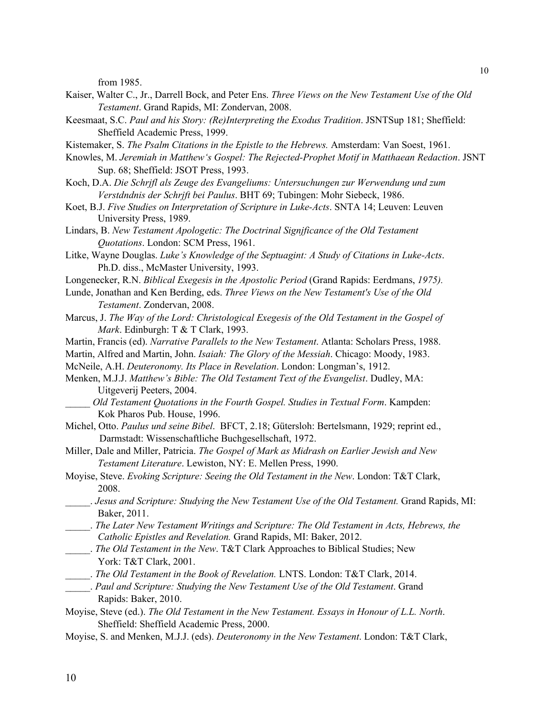from 1985.

- Kaiser, Walter C., Jr., Darrell Bock, and Peter Ens. *Three Views on the New Testament Use of the Old Testament*. Grand Rapids, MI: Zondervan, 2008.
- Keesmaat, S.C. *Paul and his Story: (Re)Interpreting the Exodus Tradition*. JSNTSup 181; Sheffield: Sheffield Academic Press, 1999.
- Kistemaker, S. *The Psalm Citations in the Epistle to the Hebrews.* Amsterdam: Van Soest, 1961.
- Knowles, M. *Jeremiah in Matthew's Gospel: The Rejected-Prophet Motif in Matthaean Redaction*. JSNT Sup. 68; Sheffield: JSOT Press, 1993.
- Koch, D.A. *Die Schrjfl als Zeuge des Evangeliums: Untersuchungen zur Werwendung und zum Verstdndnis der Schrjft bei Paulus*. BHT 69; Tubingen: Mohr Siebeck, 1986.
- Koet, B.J. *Five Studies on Interpretation of Scripture in Luke-Acts*. SNTA 14; Leuven: Leuven University Press, 1989.
- Lindars, B. *New Testament Apologetic: The Doctrinal Signjficance of the Old Testament Quotations*. London: SCM Press, 1961.
- Litke, Wayne Douglas. *Luke's Knowledge of the Septuagint: A Study of Citations in Luke-Acts*. Ph.D. diss., McMaster University, 1993.
- Longenecker, R.N. *Biblical Exegesis in the Apostolic Period* (Grand Rapids: Eerdmans, *1975).*
- Lunde, Jonathan and Ken Berding, eds. *Three Views on the New Testament's Use of the Old Testament*. Zondervan, 2008.
- Marcus, J. *The Way of the Lord: Christological Exegesis of the Old Testament in the Gospel of Mark*. Edinburgh: T & T Clark, 1993.
- Martin, Francis (ed). *Narrative Parallels to the New Testament*. Atlanta: Scholars Press, 1988.
- Martin, Alfred and Martin, John. *Isaiah: The Glory of the Messiah*. Chicago: Moody, 1983.
- McNeile, A.H. *Deuteronomy. Its Place in Revelation*. London: Longman's, 1912.
- Menken, M.J.J. *Matthew's Bible: The Old Testament Text of the Evangelist*. Dudley, MA: Uitgeverij Peeters, 2004.
- \_\_\_\_\_ *Old Testament Quotations in the Fourth Gospel. Studies in Textual Form*. Kampden: Kok Pharos Pub. House, 1996.
- Michel, Otto. *Paulus und seine Bibel*. BFCT, 2.18; Gütersloh: Bertelsmann, 1929; reprint ed., Darmstadt: Wissenschaftliche Buchgesellschaft, 1972.
- Miller, Dale and Miller, Patricia. *The Gospel of Mark as Midrash on Earlier Jewish and New Testament Literature*. Lewiston, NY: E. Mellen Press, 1990.
- Moyise, Steve. *Evoking Scripture: Seeing the Old Testament in the New*. London: T&T Clark, 2008.
- \_\_\_\_\_. *Jesus and Scripture: Studying the New Testament Use of the Old Testament.* Grand Rapids, MI: Baker, 2011.
- \_\_\_\_\_. *The Later New Testament Writings and Scripture: The Old Testament in Acts, Hebrews, the Catholic Epistles and Revelation.* Grand Rapids, MI: Baker, 2012.
- \_\_\_\_\_. *The Old Testament in the New*. T&T Clark Approaches to Biblical Studies; New York: T&T Clark, 2001.
- \_\_\_\_\_. *The Old Testament in the Book of Revelation.* LNTS. London: T&T Clark, 2014.
	- \_\_\_\_\_. *Paul and Scripture: Studying the New Testament Use of the Old Testament*. Grand Rapids: Baker, 2010.
- Moyise, Steve (ed.). *The Old Testament in the New Testament. Essays in Honour of L.L. North*. Sheffield: Sheffield Academic Press, 2000.
- Moyise, S. and Menken, M.J.J. (eds). *Deuteronomy in the New Testament*. London: T&T Clark,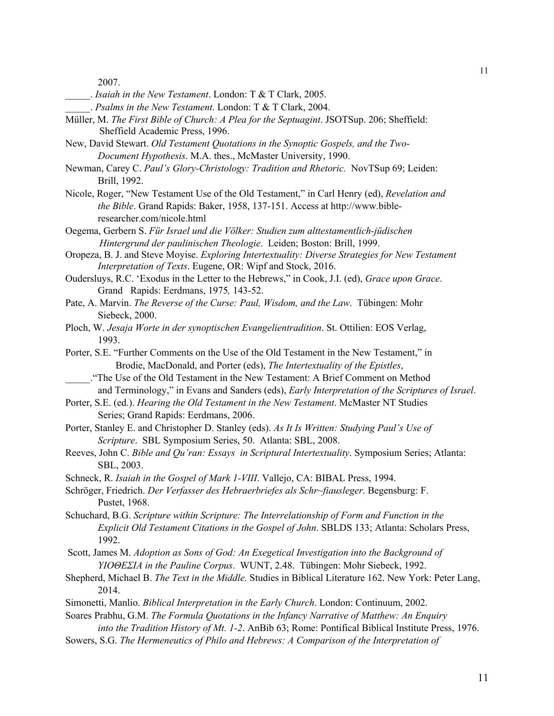2007.

- \_\_\_\_\_. *Isaiah in the New Testament*. London: T & T Clark, 2005.
	- \_\_\_\_\_. *Psalms in the New Testament*. London: T & T Clark, 2004.
- Müller, M. *The First Bible of Church: A Plea for the Septuagint*. JSOTSup. 206; Sheffield: Sheffield Academic Press, 1996.
- New, David Stewart. *Old Testament Quotations in the Synoptic Gospels, and the Two-Document Hypothesis*. M.A. thes., McMaster University, 1990.
- Newman, Carey C. *Paul's Glory-Christology: Tradition and Rhetoric.* NovTSup 69; Leiden: Brill, 1992.
- Nicole, Roger, "New Testament Use of the Old Testament," in Carl Henry (ed), *Revelation and the Bible*. Grand Rapids: Baker, 1958, 137-151. Access at http://www.bibleresearcher.com/nicole.html
- Oegema, Gerbern S. *Für Israel und die Völker: Studien zum alttestamentlich-jüdischen Hintergrund der paulinischen Theologie*. Leiden; Boston: Brill, 1999.
- Oropeza, B. J. and Steve Moyise. *Exploring Intertextuality: Diverse Strategies for New Testament Interpretation of Texts*. Eugene, OR: Wipf and Stock, 2016.
- Oudersluys, R.C. 'Exodus in the Letter to the Hebrews," in Cook, J.I. (ed), *Grace upon Grace*. Grand Rapids: Eerdmans, 1975*,* 143-52.
- Pate, A. Marvin. *The Reverse of the Curse: Paul, Wisdom, and the Law*. Tübingen: Mohr Siebeck, 2000.
- Ploch, W. *Jesaja Worte in der synoptischen Evangelientradition*. St. Ottilien: EOS Verlag, 1993.
- Porter, S.E. "Further Comments on the Use of the Old Testament in the New Testament," in Brodie, MacDonald, and Porter (eds), *The Intertextuality of the Epistles*,
- \_\_\_\_\_."The Use of the Old Testament in the New Testament: A Brief Comment on Method and Terminology," in Evans and Sanders (eds), *Early Interpretation of the Scriptures of Israel*.
- Porter, S.E. (ed.). *Hearing the Old Testament in the New Testament*. McMaster NT Studies Series; Grand Rapids: Eerdmans, 2006.
- Porter, Stanley E. and Christopher D. Stanley (eds). *As It Is Written: Studying Paul's Use of Scripture*. SBL Symposium Series, 50. Atlanta: SBL, 2008.
- Reeves, John C. *Bible and Qu'ran: Essays in Scriptural Intertextuality*. Symposium Series; Atlanta: SBL, 2003.
- Schneck, R. *Isaiah in the Gospel of Mark 1-VIII*. Vallejo, CA: BIBAL Press, 1994.
- Schröger, Friedrich. *Der Verfasser des Hebraerbriefes als Schr~fiausleger*. Begensburg: F. Pustet, 1968.
- Schuchard, B.G. *Scripture within Scripture: The Interrelationship of Form and Function in the Explicit Old Testament Citations in the Gospel of John*. SBLDS 133; Atlanta: Scholars Press, 1992.
- Scott, James M. *Adoption as Sons of God: An Exegetical Investigation into the Background of ΥΙΟΘΕΣΙΑ in the Pauline Corpus*. WUNT, 2.48. Tübingen: Mohr Siebeck, 1992.
- Shepherd, Michael B. *The Text in the Middle.* Studies in Biblical Literature 162. New York: Peter Lang, 2014.
- Simonetti, Manlio. *Biblical Interpretation in the Early Church*. London: Continuum, 2002.
- Soares Prabhu, G.M. *The Formula Quotations in the Infancy Narrative of Matthew: An Enquiry into the Tradition History of Mt. 1-2*. AnBib 63; Rome: Pontifical Biblical Institute Press, 1976.
- Sowers, S.G. *The Hermeneutics of Philo and Hebrews: A Comparison of the Interpretation of*